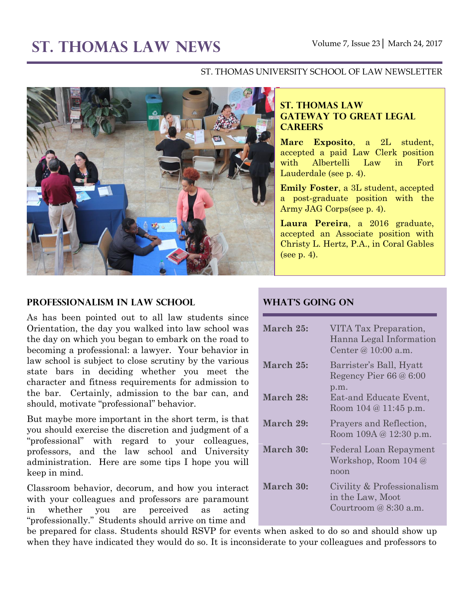#### ST. THOMAS UNIVERSITY SCHOOL OF LAW NEWSLETTER



#### **Professionalism in Law School**

As has been pointed out to all law students since Orientation, the day you walked into law school was the day on which you began to embark on the road to becoming a professional: a lawyer. Your behavior in law school is subject to close scrutiny by the various state bars in deciding whether you meet the character and fitness requirements for admission to the bar. Certainly, admission to the bar can, and should, motivate "professional" behavior.

But maybe more important in the short term, is that you should exercise the discretion and judgment of a "professional" with regard to your colleagues, professors, and the law school and University administration. Here are some tips I hope you will keep in mind.

Classroom behavior, decorum, and how you interact with your colleagues and professors are paramount in whether you are perceived as acting "professionally." Students should arrive on time and

### **ST. THOMAS LAW GATEWAY TO GREAT LEGAL CAREERS**

**Marc Exposito**, a 2L student, accepted a paid Law Clerk position with Albertelli Law in Fort Lauderdale (see p. 4).

**Emily Foster**, a 3L student, accepted a post-graduate position with the Army JAG Corps(see p. 4).

**Laura Pereira**, a 2016 graduate, accepted an Associate position with Christy L. Hertz, P.A., in Coral Gables (see p. 4).

#### **What's Going On**

| March 25: | VITA Tax Preparation,<br>Hanna Legal Information<br>Center $\varnothing$ 10:00 a.m. |
|-----------|-------------------------------------------------------------------------------------|
| March 25: | Barrister's Ball, Hyatt<br>Regency Pier $66@6:00$<br>p.m.                           |
| March 28: | Eat-and Educate Event,<br>Room $104 @ 11:45 p.m.$                                   |
| March 29: | Prayers and Reflection,<br>Room $109A \& 12:30 \text{ p.m.}$                        |
| March 30: | Federal Loan Repayment<br>Workshop, Room 104 @<br>noon                              |
| March 30: | Civility & Professionalism<br>in the Law, Moot<br>Courtroom $@8:30$ a.m.            |

be prepared for class. Students should RSVP for events when asked to do so and should show up when they have indicated they would do so. It is inconsiderate to your colleagues and professors to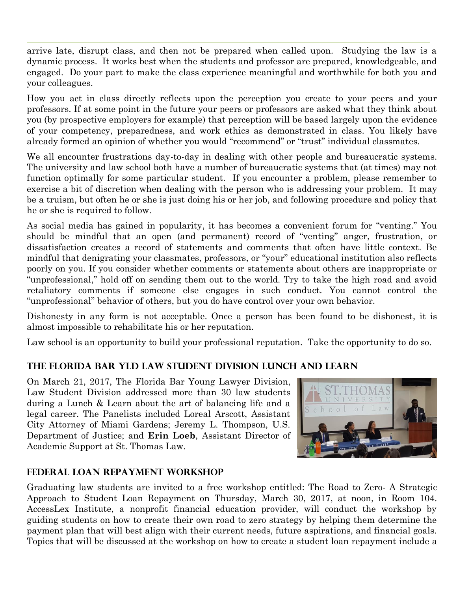arrive late, disrupt class, and then not be prepared when called upon. Studying the law is a dynamic process. It works best when the students and professor are prepared, knowledgeable, and engaged. Do your part to make the class experience meaningful and worthwhile for both you and your colleagues.

How you act in class directly reflects upon the perception you create to your peers and your professors. If at some point in the future your peers or professors are asked what they think about you (by prospective employers for example) that perception will be based largely upon the evidence of your competency, preparedness, and work ethics as demonstrated in class. You likely have already formed an opinion of whether you would "recommend" or "trust" individual classmates.

We all encounter frustrations day-to-day in dealing with other people and bureaucratic systems. The university and law school both have a number of bureaucratic systems that (at times) may not function optimally for some particular student. If you encounter a problem, please remember to exercise a bit of discretion when dealing with the person who is addressing your problem. It may be a truism, but often he or she is just doing his or her job, and following procedure and policy that he or she is required to follow.

As social media has gained in popularity, it has becomes a convenient forum for "venting." You should be mindful that an open (and permanent) record of "venting" anger, frustration, or dissatisfaction creates a record of statements and comments that often have little context. Be mindful that denigrating your classmates, professors, or "your" educational institution also reflects poorly on you. If you consider whether comments or statements about others are inappropriate or "unprofessional," hold off on sending them out to the world. Try to take the high road and avoid retaliatory comments if someone else engages in such conduct. You cannot control the "unprofessional" behavior of others, but you do have control over your own behavior.

Dishonesty in any form is not acceptable. Once a person has been found to be dishonest, it is almost impossible to rehabilitate his or her reputation.

Law school is an opportunity to build your professional reputation. Take the opportunity to do so.

# **The Florida Bar YLD Law Student Division Lunch and Learn**

On March 21, 2017, The Florida Bar Young Lawyer Division, Law Student Division addressed more than 30 law students during a Lunch & Learn about the art of balancing life and a legal career. The Panelists included Loreal Arscott, Assistant City Attorney of Miami Gardens; Jeremy L. Thompson, U.S. Department of Justice; and **Erin Loeb**, Assistant Director of Academic Support at St. Thomas Law.



### **Federal Loan Repayment Workshop**

Graduating law students are invited to a free workshop entitled: The Road to Zero- A Strategic Approach to Student Loan Repayment on Thursday, March 30, 2017, at noon, in Room 104. AccessLex Institute, a nonprofit financial education provider, will conduct the workshop by guiding students on how to create their own road to zero strategy by helping them determine the payment plan that will best align with their current needs, future aspirations, and financial goals. Topics that will be discussed at the workshop on how to create a student loan repayment include a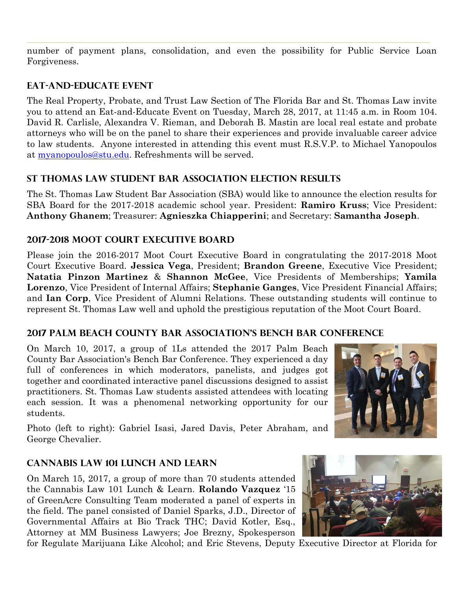number of payment plans, consolidation, and even the possibility for Public Service Loan Forgiveness.

# **Eat-and-Educate Event**

The Real Property, Probate, and Trust Law Section of The Florida Bar and St. Thomas Law invite you to attend an Eat-and-Educate Event on Tuesday, March 28, 2017, at 11:45 a.m. in Room 104. David R. Carlisle, Alexandra V. Rieman, and Deborah B. Mastin are local real estate and probate attorneys who will be on the panel to share their experiences and provide invaluable career advice to law students. Anyone interested in attending this event must R.S.V.P. to Michael Yanopoulos at [myanopoulos@stu.edu.](mailto:myanopoulos@stu.edu) Refreshments will be served.

## **St Thomas Law Student Bar Association Election Results**

The St. Thomas Law Student Bar Association (SBA) would like to announce the election results for SBA Board for the 2017-2018 academic school year. President: **Ramiro Kruss**; Vice President: **Anthony Ghanem**; Treasurer: **Agnieszka Chiapperini**; and Secretary: **Samantha Joseph**.

## **2017-2018 Moot Court Executive Board**

Please join the 2016-2017 Moot Court Executive Board in congratulating the 2017-2018 Moot Court Executive Board. **Jessica Vega**, President; **Brandon Greene**, Executive Vice President; **Natatia Pinzon Martinez** & **Shannon McGee**, Vice Presidents of Memberships; **Yamila Lorenzo**, Vice President of Internal Affairs; **Stephanie Ganges**, Vice President Financial Affairs; and **Ian Corp**, Vice President of Alumni Relations. These outstanding students will continue to represent St. Thomas Law well and uphold the prestigious reputation of the Moot Court Board.

### **2017 Palm Beach County Bar Association's Bench Bar Conference**

On March 10, 2017, a group of 1Ls attended the 2017 Palm Beach County Bar Association's Bench Bar Conference. They experienced a day full of conferences in which moderators, panelists, and judges got together and coordinated interactive panel discussions designed to assist practitioners. St. Thomas Law students assisted attendees with locating each session. It was a phenomenal networking opportunity for our students.

Photo (left to right): Gabriel Isasi, Jared Davis, Peter Abraham, and George Chevalier.

# **Cannabis Law 101 Lunch and Learn**

On March 15, 2017, a group of more than 70 students attended the Cannabis Law 101 Lunch & Learn. **Rolando Vazquez** '15 of GreenAcre Consulting Team moderated a panel of experts in the field. The panel consisted of Daniel Sparks, J.D., Director of Governmental Affairs at Bio Track THC; David Kotler, Esq., Attorney at MM Business Lawyers; Joe Brezny, Spokesperson



for Regulate Marijuana Like Alcohol; and Eric Stevens, Deputy Executive Director at Florida for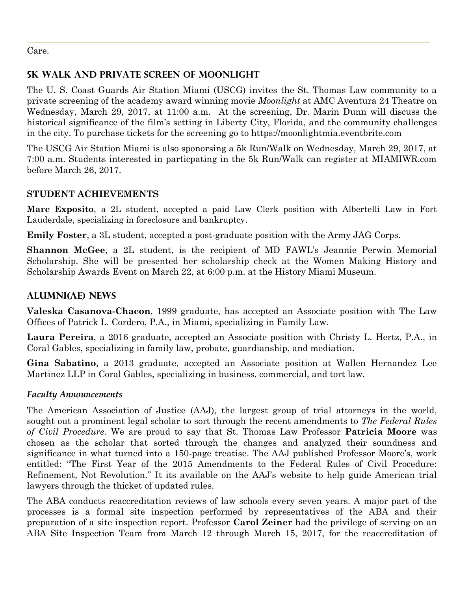Care.

## **5K Walk and Private Screen of Moonlight**

The U. S. Coast Guards Air Station Miami (USCG) invites the St. Thomas Law community to a private screening of the academy award winning movie *Moonlight* at AMC Aventura 24 Theatre on Wednesday, March 29, 2017, at 11:00 a.m. At the screening, Dr. Marin Dunn will discuss the historical significance of the film's setting in Liberty City, Florida, and the community challenges in the city. To purchase tickets for the screening go to https://moonlightmia.eventbrite.com

The USCG Air Station Miami is also sponorsing a 5k Run/Walk on Wednesday, March 29, 2017, at 7:00 a.m. Students interested in particpating in the 5k Run/Walk can register at MIAMIWR.com before March 26, 2017.

# **STUDENT ACHIEVEMENTS**

**Marc Exposito**, a 2L student, accepted a paid Law Clerk position with Albertelli Law in Fort Lauderdale, specializing in foreclosure and bankruptcy.

**Emily Foster**, a 3L student, accepted a post-graduate position with the Army JAG Corps.

**Shannon McGee**, a 2L student, is the recipient of MD FAWL's Jeannie Perwin Memorial Scholarship. She will be presented her scholarship check at the Women Making History and Scholarship Awards Event on March 22, at 6:00 p.m. at the History Miami Museum.

## **ALUMNI(AE) NEWS**

**Valeska Casanova-Chacon**, 1999 graduate, has accepted an Associate position with The Law Offices of Patrick L. Cordero, P.A., in Miami, specializing in Family Law.

**Laura Pereira**, a 2016 graduate, accepted an Associate position with Christy L. Hertz, P.A., in Coral Gables, specializing in family law, probate, guardianship, and mediation.

**Gina Sabatino**, a 2013 graduate, accepted an Associate position at Wallen Hernandez Lee Martinez LLP in Coral Gables, specializing in business, commercial, and tort law.

### *Faculty Announcements*

The American Association of Justice (AAJ), the largest group of trial attorneys in the world, sought out a prominent legal scholar to sort through the recent amendments to *The Federal Rules of Civil Procedure*. We are proud to say that St. Thomas Law Professor **Patricia Moore** was chosen as the scholar that sorted through the changes and analyzed their soundness and significance in what turned into a 150-page treatise. The AAJ published Professor Moore's, work entitled: "The First Year of the 2015 Amendments to the Federal Rules of Civil Procedure: Refinement, Not Revolution." It its available on the AAJ's website to help guide American trial lawyers through the thicket of updated rules.

The ABA conducts reaccreditation reviews of law schools every seven years. A major part of the processes is a formal site inspection performed by representatives of the ABA and their preparation of a site inspection report. Professor **Carol Zeiner** had the privilege of serving on an ABA Site Inspection Team from March 12 through March 15, 2017, for the reaccreditation of